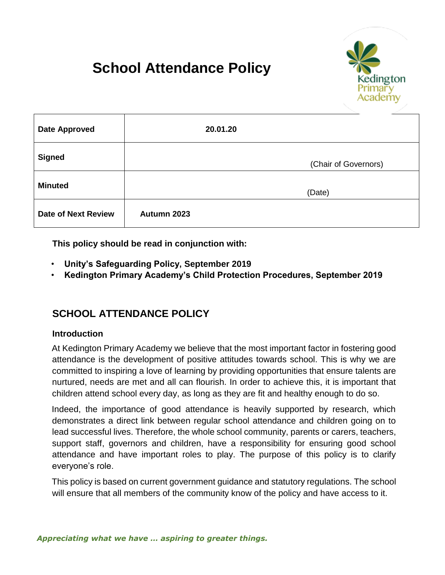# **School Attendance Policy**



| <b>Date Approved</b>       |             | 20.01.20             |
|----------------------------|-------------|----------------------|
| <b>Signed</b>              |             | (Chair of Governors) |
| <b>Minuted</b>             |             | (Date)               |
| <b>Date of Next Review</b> | Autumn 2023 |                      |

**This policy should be read in conjunction with:** 

- **Unity's Safeguarding Policy, September 2019**
- **Kedington Primary Academy's Child Protection Procedures, September 2019**

# **SCHOOL ATTENDANCE POLICY**

#### **Introduction**

At Kedington Primary Academy we believe that the most important factor in fostering good attendance is the development of positive attitudes towards school. This is why we are committed to inspiring a love of learning by providing opportunities that ensure talents are nurtured, needs are met and all can flourish. In order to achieve this, it is important that children attend school every day, as long as they are fit and healthy enough to do so.

Indeed, the importance of good attendance is heavily supported by research, which demonstrates a direct link between regular school attendance and children going on to lead successful lives. Therefore, the whole school community, parents or carers, teachers, support staff, governors and children, have a responsibility for ensuring good school attendance and have important roles to play. The purpose of this policy is to clarify everyone's role.

This policy is based on current government guidance and statutory regulations. The school will ensure that all members of the community know of the policy and have access to it.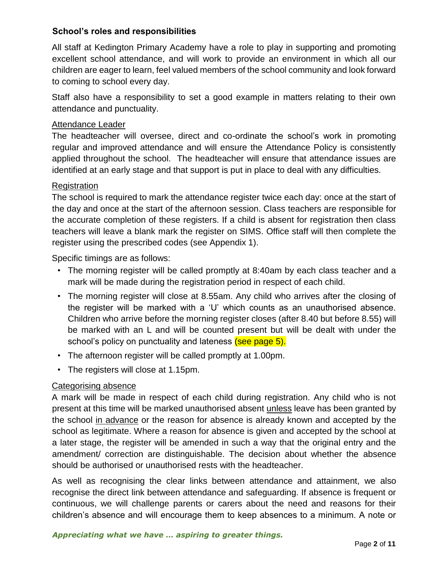#### **School's roles and responsibilities**

All staff at Kedington Primary Academy have a role to play in supporting and promoting excellent school attendance, and will work to provide an environment in which all our children are eager to learn, feel valued members of the school community and look forward to coming to school every day.

Staff also have a responsibility to set a good example in matters relating to their own attendance and punctuality.

#### Attendance Leader

The headteacher will oversee, direct and co-ordinate the school's work in promoting regular and improved attendance and will ensure the Attendance Policy is consistently applied throughout the school. The headteacher will ensure that attendance issues are identified at an early stage and that support is put in place to deal with any difficulties.

#### Registration

The school is required to mark the attendance register twice each day: once at the start of the day and once at the start of the afternoon session. Class teachers are responsible for the accurate completion of these registers. If a child is absent for registration then class teachers will leave a blank mark the register on SIMS. Office staff will then complete the register using the prescribed codes (see Appendix 1).

Specific timings are as follows:

- The morning register will be called promptly at 8:40am by each class teacher and a mark will be made during the registration period in respect of each child.
- The morning register will close at 8.55am. Any child who arrives after the closing of the register will be marked with a 'U' which counts as an unauthorised absence. Children who arrive before the morning register closes (after 8.40 but before 8.55) will be marked with an L and will be counted present but will be dealt with under the school's policy on punctuality and lateness (see page 5).
- The afternoon register will be called promptly at 1.00pm.
- The registers will close at 1.15pm.

## Categorising absence

A mark will be made in respect of each child during registration. Any child who is not present at this time will be marked unauthorised absent unless leave has been granted by the school in advance or the reason for absence is already known and accepted by the school as legitimate. Where a reason for absence is given and accepted by the school at a later stage, the register will be amended in such a way that the original entry and the amendment/ correction are distinguishable. The decision about whether the absence should be authorised or unauthorised rests with the headteacher.

As well as recognising the clear links between attendance and attainment, we also recognise the direct link between attendance and safeguarding. If absence is frequent or continuous, we will challenge parents or carers about the need and reasons for their children's absence and will encourage them to keep absences to a minimum. A note or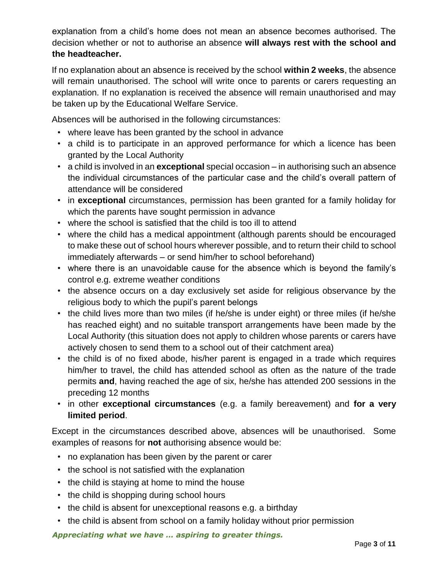explanation from a child's home does not mean an absence becomes authorised. The decision whether or not to authorise an absence **will always rest with the school and the headteacher.** 

If no explanation about an absence is received by the school **within 2 weeks**, the absence will remain unauthorised. The school will write once to parents or carers requesting an explanation. If no explanation is received the absence will remain unauthorised and may be taken up by the Educational Welfare Service.

Absences will be authorised in the following circumstances:

- where leave has been granted by the school in advance
- a child is to participate in an approved performance for which a licence has been granted by the Local Authority
- a child is involved in an **exceptional** special occasion in authorising such an absence the individual circumstances of the particular case and the child's overall pattern of attendance will be considered
- in **exceptional** circumstances, permission has been granted for a family holiday for which the parents have sought permission in advance
- where the school is satisfied that the child is too ill to attend
- where the child has a medical appointment (although parents should be encouraged to make these out of school hours wherever possible, and to return their child to school immediately afterwards – or send him/her to school beforehand)
- where there is an unavoidable cause for the absence which is beyond the family's control e.g. extreme weather conditions
- the absence occurs on a day exclusively set aside for religious observance by the religious body to which the pupil's parent belongs
- the child lives more than two miles (if he/she is under eight) or three miles (if he/she has reached eight) and no suitable transport arrangements have been made by the Local Authority (this situation does not apply to children whose parents or carers have actively chosen to send them to a school out of their catchment area)
- the child is of no fixed abode, his/her parent is engaged in a trade which requires him/her to travel, the child has attended school as often as the nature of the trade permits **and**, having reached the age of six, he/she has attended 200 sessions in the preceding 12 months
- in other **exceptional circumstances** (e.g. a family bereavement) and **for a very limited period**.

Except in the circumstances described above, absences will be unauthorised. Some examples of reasons for **not** authorising absence would be:

- no explanation has been given by the parent or carer
- the school is not satisfied with the explanation
- the child is staying at home to mind the house
- the child is shopping during school hours
- the child is absent for unexceptional reasons e.g. a birthday
- the child is absent from school on a family holiday without prior permission

*Appreciating what we have … aspiring to greater things.*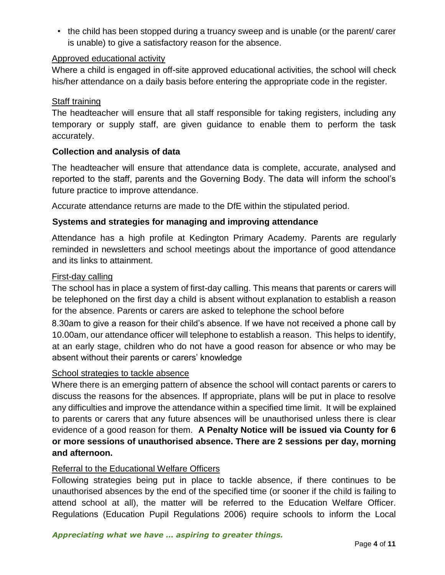• the child has been stopped during a truancy sweep and is unable (or the parent/ carer is unable) to give a satisfactory reason for the absence.

#### Approved educational activity

Where a child is engaged in off-site approved educational activities, the school will check his/her attendance on a daily basis before entering the appropriate code in the register.

#### Staff training

The headteacher will ensure that all staff responsible for taking registers, including any temporary or supply staff, are given guidance to enable them to perform the task accurately.

#### **Collection and analysis of data**

The headteacher will ensure that attendance data is complete, accurate, analysed and reported to the staff, parents and the Governing Body. The data will inform the school's future practice to improve attendance.

Accurate attendance returns are made to the DfE within the stipulated period.

#### **Systems and strategies for managing and improving attendance**

Attendance has a high profile at Kedington Primary Academy. Parents are regularly reminded in newsletters and school meetings about the importance of good attendance and its links to attainment.

#### First-day calling

The school has in place a system of first-day calling. This means that parents or carers will be telephoned on the first day a child is absent without explanation to establish a reason for the absence. Parents or carers are asked to telephone the school before

8.30am to give a reason for their child's absence. If we have not received a phone call by 10.00am, our attendance officer will telephone to establish a reason. This helps to identify, at an early stage, children who do not have a good reason for absence or who may be absent without their parents or carers' knowledge

#### School strategies to tackle absence

Where there is an emerging pattern of absence the school will contact parents or carers to discuss the reasons for the absences. If appropriate, plans will be put in place to resolve any difficulties and improve the attendance within a specified time limit. It will be explained to parents or carers that any future absences will be unauthorised unless there is clear evidence of a good reason for them. **A Penalty Notice will be issued via County for 6 or more sessions of unauthorised absence. There are 2 sessions per day, morning and afternoon.**

#### Referral to the Educational Welfare Officers

Following strategies being put in place to tackle absence, if there continues to be unauthorised absences by the end of the specified time (or sooner if the child is failing to attend school at all), the matter will be referred to the Education Welfare Officer. Regulations (Education Pupil Regulations 2006) require schools to inform the Local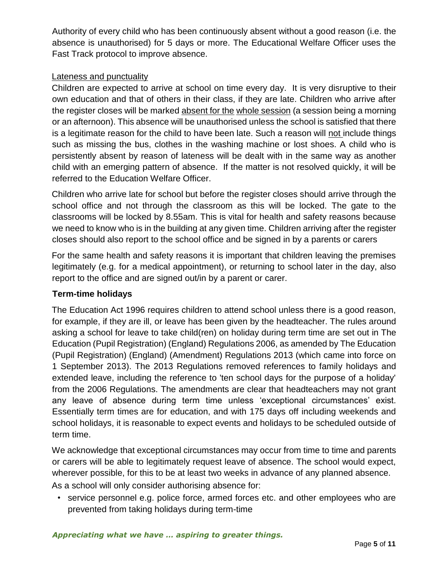Authority of every child who has been continuously absent without a good reason (i.e. the absence is unauthorised) for 5 days or more. The Educational Welfare Officer uses the Fast Track protocol to improve absence.

#### Lateness and punctuality

Children are expected to arrive at school on time every day. It is very disruptive to their own education and that of others in their class, if they are late. Children who arrive after the register closes will be marked absent for the whole session (a session being a morning or an afternoon). This absence will be unauthorised unless the school is satisfied that there is a legitimate reason for the child to have been late. Such a reason will not include things such as missing the bus, clothes in the washing machine or lost shoes. A child who is persistently absent by reason of lateness will be dealt with in the same way as another child with an emerging pattern of absence. If the matter is not resolved quickly, it will be referred to the Education Welfare Officer.

Children who arrive late for school but before the register closes should arrive through the school office and not through the classroom as this will be locked. The gate to the classrooms will be locked by 8.55am. This is vital for health and safety reasons because we need to know who is in the building at any given time. Children arriving after the register closes should also report to the school office and be signed in by a parents or carers

For the same health and safety reasons it is important that children leaving the premises legitimately (e.g. for a medical appointment), or returning to school later in the day, also report to the office and are signed out/in by a parent or carer.

#### **Term-time holidays**

The Education Act 1996 requires children to attend school unless there is a good reason, for example, if they are ill, or leave has been given by the headteacher. The rules around asking a school for leave to take child(ren) on holiday during term time are set out in The Education (Pupil Registration) (England) Regulations 2006, as amended by The Education (Pupil Registration) (England) (Amendment) Regulations 2013 (which came into force on 1 September 2013). The 2013 Regulations removed references to family holidays and extended leave, including the reference to 'ten school days for the purpose of a holiday' from the 2006 Regulations. The amendments are clear that headteachers may not grant any leave of absence during term time unless 'exceptional circumstances' exist. Essentially term times are for education, and with 175 days off including weekends and school holidays, it is reasonable to expect events and holidays to be scheduled outside of term time.

We acknowledge that exceptional circumstances may occur from time to time and parents or carers will be able to legitimately request leave of absence. The school would expect, wherever possible, for this to be at least two weeks in advance of any planned absence.

As a school will only consider authorising absence for:

• service personnel e.g. police force, armed forces etc. and other employees who are prevented from taking holidays during term-time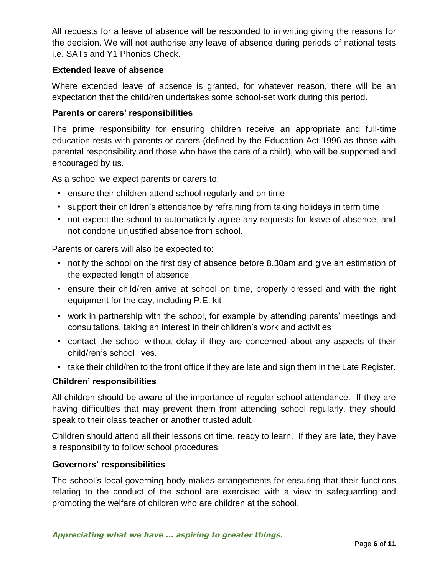All requests for a leave of absence will be responded to in writing giving the reasons for the decision. We will not authorise any leave of absence during periods of national tests i.e. SATs and Y1 Phonics Check.

#### **Extended leave of absence**

Where extended leave of absence is granted, for whatever reason, there will be an expectation that the child/ren undertakes some school-set work during this period.

#### **Parents or carers' responsibilities**

The prime responsibility for ensuring children receive an appropriate and full-time education rests with parents or carers (defined by the Education Act 1996 as those with parental responsibility and those who have the care of a child), who will be supported and encouraged by us.

As a school we expect parents or carers to:

- ensure their children attend school regularly and on time
- support their children's attendance by refraining from taking holidays in term time
- not expect the school to automatically agree any requests for leave of absence, and not condone unjustified absence from school.

Parents or carers will also be expected to:

- notify the school on the first day of absence before 8.30am and give an estimation of the expected length of absence
- ensure their child/ren arrive at school on time, properly dressed and with the right equipment for the day, including P.E. kit
- work in partnership with the school, for example by attending parents' meetings and consultations, taking an interest in their children's work and activities
- contact the school without delay if they are concerned about any aspects of their child/ren's school lives.
- take their child/ren to the front office if they are late and sign them in the Late Register.

#### **Children' responsibilities**

All children should be aware of the importance of regular school attendance. If they are having difficulties that may prevent them from attending school regularly, they should speak to their class teacher or another trusted adult.

Children should attend all their lessons on time, ready to learn. If they are late, they have a responsibility to follow school procedures.

#### **Governors' responsibilities**

The school's local governing body makes arrangements for ensuring that their functions relating to the conduct of the school are exercised with a view to safeguarding and promoting the welfare of children who are children at the school.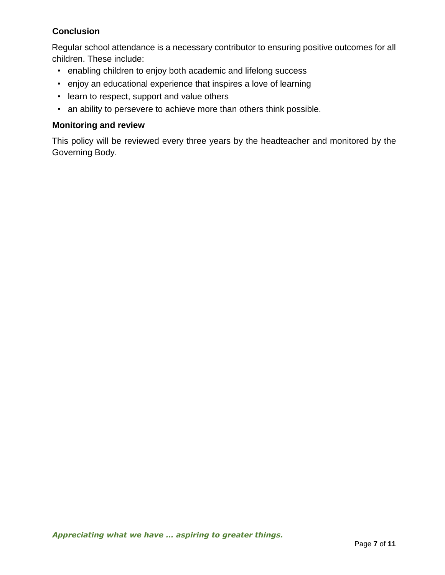## **Conclusion**

Regular school attendance is a necessary contributor to ensuring positive outcomes for all children. These include:

- enabling children to enjoy both academic and lifelong success
- enjoy an educational experience that inspires a love of learning
- learn to respect, support and value others
- an ability to persevere to achieve more than others think possible.

#### **Monitoring and review**

This policy will be reviewed every three years by the headteacher and monitored by the Governing Body.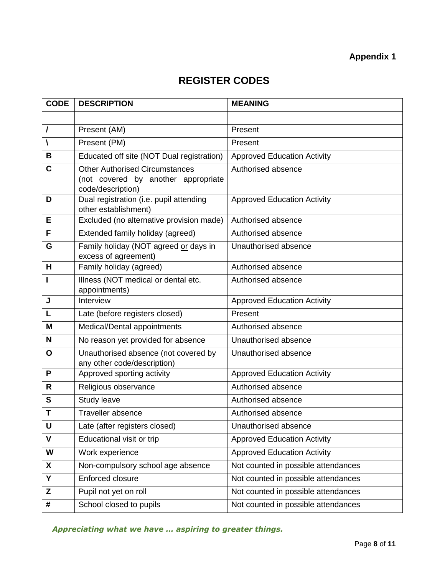# **Appendix 1**

# **REGISTER CODES**

| <b>CODE</b>  | <b>DESCRIPTION</b>                                                                                | <b>MEANING</b>                      |
|--------------|---------------------------------------------------------------------------------------------------|-------------------------------------|
|              |                                                                                                   |                                     |
| $\prime$     | Present (AM)                                                                                      | Present                             |
| V            | Present (PM)                                                                                      | Present                             |
| B            | Educated off site (NOT Dual registration)                                                         | <b>Approved Education Activity</b>  |
| C            | <b>Other Authorised Circumstances</b><br>(not covered by another appropriate<br>code/description) | Authorised absence                  |
| D            | Dual registration (i.e. pupil attending<br>other establishment)                                   | <b>Approved Education Activity</b>  |
| Е            | Excluded (no alternative provision made)                                                          | Authorised absence                  |
| F            | Extended family holiday (agreed)                                                                  | Authorised absence                  |
| G            | Family holiday (NOT agreed or days in<br>excess of agreement)                                     | Unauthorised absence                |
| H            | Family holiday (agreed)                                                                           | Authorised absence                  |
| п            | Illness (NOT medical or dental etc.<br>appointments)                                              | Authorised absence                  |
| J            | Interview                                                                                         | <b>Approved Education Activity</b>  |
| L            | Late (before registers closed)                                                                    | Present                             |
| M            | Medical/Dental appointments                                                                       | Authorised absence                  |
| N            | No reason yet provided for absence                                                                | Unauthorised absence                |
| $\mathbf{o}$ | Unauthorised absence (not covered by<br>any other code/description)                               | Unauthorised absence                |
| P            | Approved sporting activity                                                                        | <b>Approved Education Activity</b>  |
| R            | Religious observance                                                                              | Authorised absence                  |
| S            | Study leave                                                                                       | Authorised absence                  |
| T            | Traveller absence                                                                                 | Authorised absence                  |
| U            | Late (after registers closed)                                                                     | Unauthorised absence                |
| $\mathbf V$  | Educational visit or trip                                                                         | <b>Approved Education Activity</b>  |
| W            | Work experience                                                                                   | <b>Approved Education Activity</b>  |
| X            | Non-compulsory school age absence                                                                 | Not counted in possible attendances |
| Y            | Enforced closure                                                                                  | Not counted in possible attendances |
| Z            | Pupil not yet on roll                                                                             | Not counted in possible attendances |
| #            | School closed to pupils                                                                           | Not counted in possible attendances |

*Appreciating what we have … aspiring to greater things.*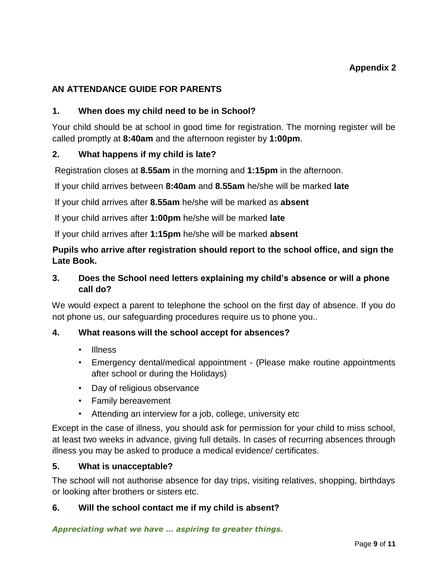# **AN ATTENDANCE GUIDE FOR PARENTS**

#### **1. When does my child need to be in School?**

Your child should be at school in good time for registration. The morning register will be called promptly at **8:40am** and the afternoon register by **1:00pm**.

#### **2. What happens if my child is late?**

Registration closes at **8.55am** in the morning and **1:15pm** in the afternoon.

If your child arrives between **8:40am** and **8.55am** he/she will be marked **late**

If your child arrives after **8.55am** he/she will be marked as **absent** 

If your child arrives after **1:00pm** he/she will be marked **late**

If your child arrives after **1:15pm** he/she will be marked **absent**

# **Pupils who arrive after registration should report to the school office, and sign the Late Book.**

## **3. Does the School need letters explaining my child's absence or will a phone call do?**

We would expect a parent to telephone the school on the first day of absence. If you do not phone us, our safeguarding procedures require us to phone you..

#### **4. What reasons will the school accept for absences?**

- Illness
- Emergency dental/medical appointment (Please make routine appointments after school or during the Holidays)
- Day of religious observance
- Family bereavement
- Attending an interview for a job, college, university etc

Except in the case of illness, you should ask for permission for your child to miss school, at least two weeks in advance, giving full details. In cases of recurring absences through illness you may be asked to produce a medical evidence/ certificates.

#### **5. What is unacceptable?**

The school will not authorise absence for day trips, visiting relatives, shopping, birthdays or looking after brothers or sisters etc.

#### **6. Will the school contact me if my child is absent?**

*Appreciating what we have … aspiring to greater things.*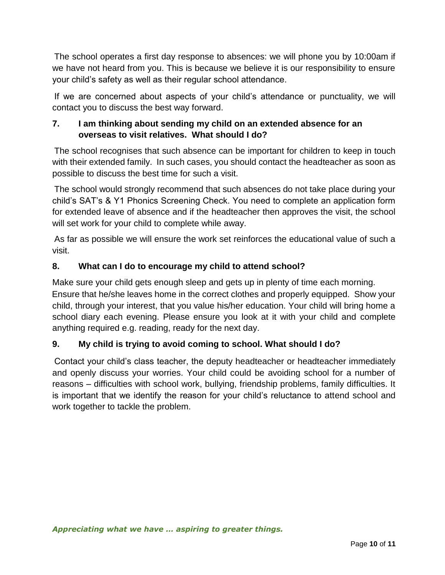The school operates a first day response to absences: we will phone you by 10:00am if we have not heard from you. This is because we believe it is our responsibility to ensure your child's safety as well as their regular school attendance.

If we are concerned about aspects of your child's attendance or punctuality, we will contact you to discuss the best way forward.

# **7. I am thinking about sending my child on an extended absence for an overseas to visit relatives. What should I do?**

The school recognises that such absence can be important for children to keep in touch with their extended family. In such cases, you should contact the headteacher as soon as possible to discuss the best time for such a visit.

The school would strongly recommend that such absences do not take place during your child's SAT's & Y1 Phonics Screening Check. You need to complete an application form for extended leave of absence and if the headteacher then approves the visit, the school will set work for your child to complete while away.

As far as possible we will ensure the work set reinforces the educational value of such a visit.

# **8. What can I do to encourage my child to attend school?**

Make sure your child gets enough sleep and gets up in plenty of time each morning. Ensure that he/she leaves home in the correct clothes and properly equipped. Show your child, through your interest, that you value his/her education. Your child will bring home a school diary each evening. Please ensure you look at it with your child and complete anything required e.g. reading, ready for the next day.

## **9. My child is trying to avoid coming to school. What should I do?**

Contact your child's class teacher, the deputy headteacher or headteacher immediately and openly discuss your worries. Your child could be avoiding school for a number of reasons – difficulties with school work, bullying, friendship problems, family difficulties. It is important that we identify the reason for your child's reluctance to attend school and work together to tackle the problem.